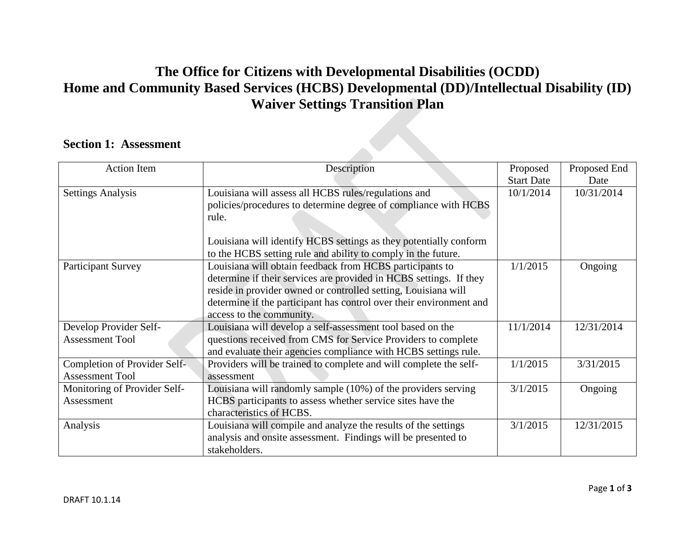## **The Office for Citizens with Developmental Disabilities (OCDD) Home and Community Based Services (HCBS) Developmental (DD)/Intellectual Disability (ID) Waiver Settings Transition Plan**

## **Section 1: Assessment**

| <b>Action Item</b>           | Description                                                         | Proposed          | Proposed End |
|------------------------------|---------------------------------------------------------------------|-------------------|--------------|
|                              |                                                                     | <b>Start Date</b> | Date         |
| <b>Settings Analysis</b>     | Louisiana will assess all HCBS rules/regulations and                | 10/1/2014         | 10/31/2014   |
|                              | policies/procedures to determine degree of compliance with HCBS     |                   |              |
|                              | rule.                                                               |                   |              |
|                              | Louisiana will identify HCBS settings as they potentially conform   |                   |              |
|                              | to the HCBS setting rule and ability to comply in the future.       |                   |              |
| <b>Participant Survey</b>    | Louisiana will obtain feedback from HCBS participants to            | 1/1/2015          | Ongoing      |
|                              | determine if their services are provided in HCBS settings. If they  |                   |              |
|                              | reside in provider owned or controlled setting, Louisiana will      |                   |              |
|                              | determine if the participant has control over their environment and |                   |              |
|                              | access to the community.                                            |                   |              |
| Develop Provider Self-       | Louisiana will develop a self-assessment tool based on the          | 11/1/2014         | 12/31/2014   |
| <b>Assessment Tool</b>       | questions received from CMS for Service Providers to complete       |                   |              |
|                              | and evaluate their agencies compliance with HCBS settings rule.     |                   |              |
| Completion of Provider Self- | Providers will be trained to complete and will complete the self-   | 1/1/2015          | 3/31/2015    |
| <b>Assessment Tool</b>       | assessment                                                          |                   |              |
| Monitoring of Provider Self- | Louisiana will randomly sample (10%) of the providers serving       | 3/1/2015          | Ongoing      |
| Assessment                   | HCBS participants to assess whether service sites have the          |                   |              |
|                              | characteristics of HCBS.                                            |                   |              |
| Analysis                     | Louisiana will compile and analyze the results of the settings      | 3/1/2015          | 12/31/2015   |
|                              | analysis and onsite assessment. Findings will be presented to       |                   |              |
|                              | stakeholders.                                                       |                   |              |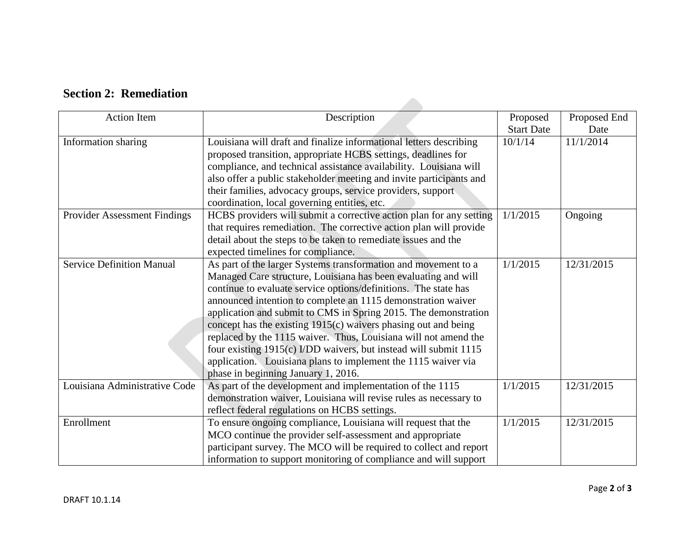| <b>Action Item</b>               | Description                                                         | Proposed          | Proposed End |
|----------------------------------|---------------------------------------------------------------------|-------------------|--------------|
|                                  |                                                                     | <b>Start Date</b> | Date         |
| Information sharing              | Louisiana will draft and finalize informational letters describing  | 10/1/14           | 11/1/2014    |
|                                  | proposed transition, appropriate HCBS settings, deadlines for       |                   |              |
|                                  | compliance, and technical assistance availability. Louisiana will   |                   |              |
|                                  | also offer a public stakeholder meeting and invite participants and |                   |              |
|                                  | their families, advocacy groups, service providers, support         |                   |              |
|                                  | coordination, local governing entities, etc.                        |                   |              |
| Provider Assessment Findings     | HCBS providers will submit a corrective action plan for any setting | 1/1/2015          | Ongoing      |
|                                  | that requires remediation. The corrective action plan will provide  |                   |              |
|                                  | detail about the steps to be taken to remediate issues and the      |                   |              |
|                                  | expected timelines for compliance.                                  |                   |              |
| <b>Service Definition Manual</b> | As part of the larger Systems transformation and movement to a      | 1/1/2015          | 12/31/2015   |
|                                  | Managed Care structure, Louisiana has been evaluating and will      |                   |              |
|                                  | continue to evaluate service options/definitions. The state has     |                   |              |
|                                  | announced intention to complete an 1115 demonstration waiver        |                   |              |
|                                  | application and submit to CMS in Spring 2015. The demonstration     |                   |              |
|                                  | concept has the existing 1915(c) waivers phasing out and being      |                   |              |
|                                  | replaced by the 1115 waiver. Thus, Louisiana will not amend the     |                   |              |
|                                  | four existing 1915(c) I/DD waivers, but instead will submit 1115    |                   |              |
|                                  | application. Louisiana plans to implement the 1115 waiver via       |                   |              |
|                                  | phase in beginning January 1, 2016.                                 |                   |              |
| Louisiana Administrative Code    | As part of the development and implementation of the 1115           | 1/1/2015          | 12/31/2015   |
|                                  | demonstration waiver, Louisiana will revise rules as necessary to   |                   |              |
|                                  | reflect federal regulations on HCBS settings.                       |                   |              |
| Enrollment                       | To ensure ongoing compliance, Louisiana will request that the       | 1/1/2015          | 12/31/2015   |
|                                  | MCO continue the provider self-assessment and appropriate           |                   |              |
|                                  | participant survey. The MCO will be required to collect and report  |                   |              |
|                                  | information to support monitoring of compliance and will support    |                   |              |